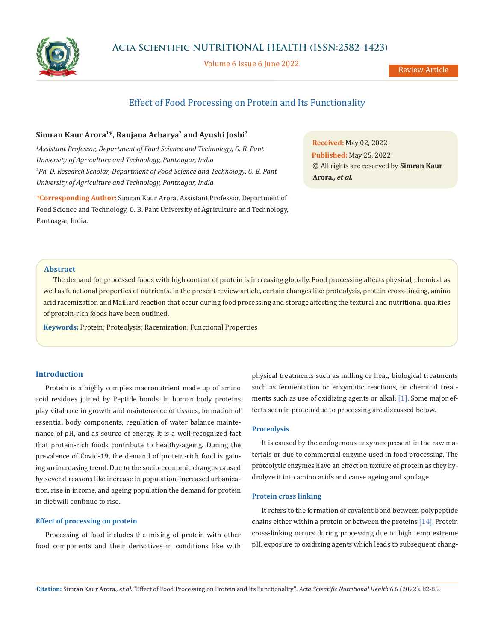

Volume 6 Issue 6 June 2022

Review Article

# Effect of Food Processing on Protein and Its Functionality

# **Simran Kaur Arora1\*, Ranjana Acharya2 and Ayushi Joshi2**

<sup>1</sup> Assistant Professor, Department of Food Science and Technology, G. B. Pant *University of Agriculture and Technology, Pantnagar, India 2 Ph. D. Research Scholar, Department of Food Science and Technology, G. B. Pant University of Agriculture and Technology, Pantnagar, India*

**\*Corresponding Author:** Simran Kaur Arora, Assistant Professor, Department of Food Science and Technology, G. B. Pant University of Agriculture and Technology, Pantnagar, India.

**Received:** May 02, 2022 **Published:** May 25, 2022 © All rights are reserved by **Simran Kaur Arora***., et al.*

# **Abstract**

The demand for processed foods with high content of protein is increasing globally. Food processing affects physical, chemical as well as functional properties of nutrients. In the present review article, certain changes like proteolysis, protein cross-linking, amino acid racemization and Maillard reaction that occur during food processing and storage affecting the textural and nutritional qualities of protein-rich foods have been outlined.

**Keywords:** Protein; Proteolysis; Racemization; Functional Properties

# **Introduction**

Protein is a highly complex macronutrient made up of amino acid residues joined by Peptide bonds. In human body proteins play vital role in growth and maintenance of tissues, formation of essential body components, regulation of water balance maintenance of pH, and as source of energy. It is a well-recognized fact that protein-rich foods contribute to healthy-ageing. During the prevalence of Covid-19, the demand of protein-rich food is gaining an increasing trend. Due to the socio-economic changes caused by several reasons like increase in population, increased urbanization, rise in income, and ageing population the demand for protein in diet will continue to rise.

# **Effect of processing on protein**

Processing of food includes the mixing of protein with other food components and their derivatives in conditions like with

physical treatments such as milling or heat, biological treatments such as fermentation or enzymatic reactions, or chemical treatments such as use of oxidizing agents or alkali [1]. Some major effects seen in protein due to processing are discussed below.

#### **Proteolysis**

It is caused by the endogenous enzymes present in the raw materials or due to commercial enzyme used in food processing. The proteolytic enzymes have an effect on texture of protein as they hydrolyze it into amino acids and cause ageing and spoilage.

# **Protein cross linking**

It refers to the formation of covalent bond between polypeptide chains either within a protein or between the proteins [14]. Protein cross-linking occurs during processing due to high temp extreme pH, exposure to oxidizing agents which leads to subsequent chang-

**Citation:** Simran Kaur Arora*., et al.* "Effect of Food Processing on Protein and Its Functionality". *Acta Scientific Nutritional Health* 6.6 (2022): 82-85.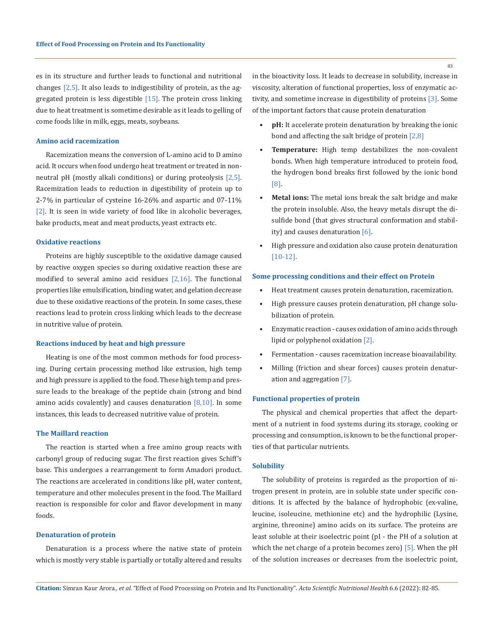es in its structure and further leads to functional and nutritional changes  $[2,5]$ . It also leads to indigestibility of protein, as the aggregated protein is less digestible [15]. The protein cross linking due to heat treatment is sometime desirable as it leads to gelling of come foods like in milk, eggs, meats, soybeans.

#### **Amino acid racemization**

Racemization means the conversion of L-amino acid to D amino acid. It occurs when food undergo heat treatment or treated in nonneutral pH (mostly alkali conditions) or during proteolysis [2,5]. Racemization leads to reduction in digestibility of protein up to 2-7% in particular of cysteine 16-26% and aspartic and 07-11% [2]. It is seen in wide variety of food like in alcoholic beverages, bake products, meat and meat products, yeast extracts etc.

## **Oxidative reactions**

Proteins are highly susceptible to the oxidative damage caused by reactive oxygen species so during oxidative reaction these are modified to several amino acid residues [2,16]. The functional properties like emulsification, binding water, and gelation decrease due to these oxidative reactions of the protein. In some cases, these reactions lead to protein cross linking which leads to the decrease in nutritive value of protein.

#### **Reactions induced by heat and high pressure**

Heating is one of the most common methods for food processing. During certain processing method like extrusion, high temp and high pressure is applied to the food. These high temp and pressure leads to the breakage of the peptide chain (strong and bind amino acids covalently) and causes denaturation  $[8,10]$ . In some instances, this leads to decreased nutritive value of protein.

## **The Maillard reaction**

The reaction is started when a free amino group reacts with carbonyl group of reducing sugar. The first reaction gives Schiff's base. This undergoes a rearrangement to form Amadori product. The reactions are accelerated in conditions like pH, water content, temperature and other molecules present in the food. The Maillard reaction is responsible for color and flavor development in many foods.

## **Denaturation of protein**

Denaturation is a process where the native state of protein which is mostly very stable is partially or totally altered and results in the bioactivity loss. It leads to decrease in solubility, increase in viscosity, alteration of functional properties, loss of enzymatic activity, and sometime increase in digestibility of proteins [3]. Some of the important factors that cause protein denaturation

- **• pH:** It accelerate protein denaturation by breaking the ionic bond and affecting the salt bridge of protein  $[2,8]$
- **• Temperature:** High temp destabilizes the non-covalent bonds. When high temperature introduced to protein food, the hydrogen bond breaks first followed by the ionic bond [8].
- **• Metal ions:** The metal ions break the salt bridge and make the protein insoluble. Also, the heavy metals disrupt the disulfide bond (that gives structural conformation and stability) and causes denaturation [6].
- High pressure and oxidation also cause protein denaturation [10-12].

## **Some processing conditions and their effect on Protein**

- Heat treatment causes protein denaturation, racemization.
- High pressure causes protein denaturation, pH change solubilization of protein.
- Enzymatic reaction causes oxidation of amino acids through lipid or polyphenol oxidation [2].
- Fermentation causes racemization increase bioavailability.
- Milling (friction and shear forces) causes protein denaturation and aggregation [7].

#### **Functional properties of protein**

The physical and chemical properties that affect the department of a nutrient in food systems during its storage, cooking or processing and consumption, is known to be the functional properties of that particular nutrients.

#### **Solubility**

The solubility of proteins is regarded as the proportion of nitrogen present in protein, are in soluble state under specific conditions. It is affected by the balance of hydrophobic (ex-valine, leucine, isoleucine, methionine etc) and the hydrophilic (Lysine, arginine, threonine) amino acids on its surface. The proteins are least soluble at their isoelectric point (pI - the PH of a solution at which the net charge of a protein becomes zero) [5]. When the pH of the solution increases or decreases from the isoelectric point,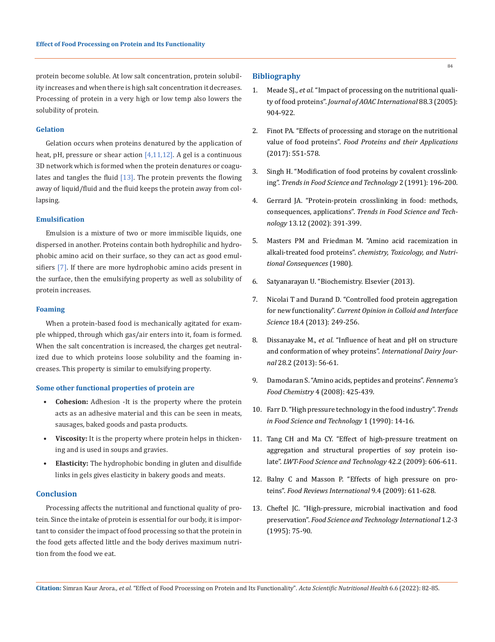protein become soluble. At low salt concentration, protein solubility increases and when there is high salt concentration it decreases. Processing of protein in a very high or low temp also lowers the solubility of protein.

# **Gelation**

Gelation occurs when proteins denatured by the application of heat, pH, pressure or shear action [4,11,12]. A gel is a continuous 3D network which is formed when the protein denatures or coagulates and tangles the fluid  $[13]$ . The protein prevents the flowing away of liquid/fluid and the fluid keeps the protein away from collapsing.

# **Emulsification**

Emulsion is a mixture of two or more immiscible liquids, one dispersed in another. Proteins contain both hydrophilic and hydrophobic amino acid on their surface, so they can act as good emulsifiers [7]. If there are more hydrophobic amino acids present in the surface, then the emulsifying property as well as solubility of protein increases.

#### **Foaming**

When a protein-based food is mechanically agitated for example whipped, through which gas/air enters into it, foam is formed. When the salt concentration is increased, the charges get neutralized due to which proteins loose solubility and the foaming increases. This property is similar to emulsifying property.

## **Some other functional properties of protein are**

- **• Cohesion:** Adhesion -It is the property where the protein acts as an adhesive material and this can be seen in meats, sausages, baked goods and pasta products.
- **• Viscosity:** It is the property where protein helps in thickening and is used in soups and gravies.
- **• Elasticity:** The hydrophobic bonding in gluten and disulfide links in gels gives elasticity in bakery goods and meats.

## **Conclusion**

Processing affects the nutritional and functional quality of protein. Since the intake of protein is essential for our body, it is important to consider the impact of food processing so that the protein in the food gets affected little and the body derives maximum nutrition from the food we eat.

# **Bibliography**

- 1. Meade SJ., *et al*[. "Impact of processing on the nutritional quali](https://watermark.silverchair.com/jaoac0904.pdf?token=AQECAHi208BE49Ooan9kkhW_Ercy7Dm3ZL_9Cf3qfKAc485ysgAAAsUwggLBBgkqhkiG9w0BBwagggKyMIICrgIBADCCAqcGCSqGSIb3DQEHATAeBglghkgBZQMEAS4wEQQMicSzqpkd2IZM-OH1AgEQgIICeML_E8ioOe-Q3Vgnn0UMq1F_twX84LTM0XyfPlHQEz46KKnGfWQTBZuEfuUrGYgn6awFMuQhk5w-8uwFwxCPo0Y8uLnbgDOwWLK6qJjcR0iEZ28D4BGgtxjstmIgEQPUYUu1ZkgM0g1ImZQLSSsxQ7ovZ2EN7N0MyGagvfxKWtIyIJSlxxAq3i7cXOne2_UfbgwKQiaofoOhCrVz2ljS43kUevpCi3J_ck7j9ojqs_rLo5p1urNt9w_oVZwrsLvL0Z51KCESD7U1ZqVnNyXxcgHLTHrSjuZe7x56RDnc5ZADHRr21tC6Szp2bzDxBaVN64f4hlOEdVOETEZuKmn9rYwdHNOiEChz7uGe-APvrVKqZ5VNn6I0ACGS-VruN2BnmXhow_stO48Lt7gg3eVsp3kZ7_S5S8ZKrlA0ZEuPBZQ5zj_uqJqZ29fqitQf7OwssaqoStEx9MEz43FM84-wttO1Q7dxv1DMpc_M-xZ5xy_A6pztEB0-o3B6yW-ErIWVZVv1wna0TfSac1mW40qMy5MJUBMhFItjpcBTqHAlxI4osfCiyJLueKs2cFIl9jB0eU9OCYube0fr8C8bClRPWtf3IFiV31eJ10Fc8dlwqejWULS7HoVLSpn6oRoI-tb6RqNJDpRblkfN0WgnceaDvGjIU5eRA8DwqgbRKYpKc25f-em5wglbFK6m9nAZHwBJKQxojr_F_n_b2OpnguMAuRjuzq666Qx-17QxOVII5-h29ADDQqH0ggVR24S3eVCKMazVaA2IRwv-tqlRQzGkInqOPLJBptmEhBywQUKOz79RzGqcZL9XfJbNdEMY5PTAxggxef-evSTG)ty of food proteins". *[Journal of AOAC International](https://watermark.silverchair.com/jaoac0904.pdf?token=AQECAHi208BE49Ooan9kkhW_Ercy7Dm3ZL_9Cf3qfKAc485ysgAAAsUwggLBBgkqhkiG9w0BBwagggKyMIICrgIBADCCAqcGCSqGSIb3DQEHATAeBglghkgBZQMEAS4wEQQMicSzqpkd2IZM-OH1AgEQgIICeML_E8ioOe-Q3Vgnn0UMq1F_twX84LTM0XyfPlHQEz46KKnGfWQTBZuEfuUrGYgn6awFMuQhk5w-8uwFwxCPo0Y8uLnbgDOwWLK6qJjcR0iEZ28D4BGgtxjstmIgEQPUYUu1ZkgM0g1ImZQLSSsxQ7ovZ2EN7N0MyGagvfxKWtIyIJSlxxAq3i7cXOne2_UfbgwKQiaofoOhCrVz2ljS43kUevpCi3J_ck7j9ojqs_rLo5p1urNt9w_oVZwrsLvL0Z51KCESD7U1ZqVnNyXxcgHLTHrSjuZe7x56RDnc5ZADHRr21tC6Szp2bzDxBaVN64f4hlOEdVOETEZuKmn9rYwdHNOiEChz7uGe-APvrVKqZ5VNn6I0ACGS-VruN2BnmXhow_stO48Lt7gg3eVsp3kZ7_S5S8ZKrlA0ZEuPBZQ5zj_uqJqZ29fqitQf7OwssaqoStEx9MEz43FM84-wttO1Q7dxv1DMpc_M-xZ5xy_A6pztEB0-o3B6yW-ErIWVZVv1wna0TfSac1mW40qMy5MJUBMhFItjpcBTqHAlxI4osfCiyJLueKs2cFIl9jB0eU9OCYube0fr8C8bClRPWtf3IFiV31eJ10Fc8dlwqejWULS7HoVLSpn6oRoI-tb6RqNJDpRblkfN0WgnceaDvGjIU5eRA8DwqgbRKYpKc25f-em5wglbFK6m9nAZHwBJKQxojr_F_n_b2OpnguMAuRjuzq666Qx-17QxOVII5-h29ADDQqH0ggVR24S3eVCKMazVaA2IRwv-tqlRQzGkInqOPLJBptmEhBywQUKOz79RzGqcZL9XfJbNdEMY5PTAxggxef-evSTG)* 88.3 (2005): [904-922.](https://watermark.silverchair.com/jaoac0904.pdf?token=AQECAHi208BE49Ooan9kkhW_Ercy7Dm3ZL_9Cf3qfKAc485ysgAAAsUwggLBBgkqhkiG9w0BBwagggKyMIICrgIBADCCAqcGCSqGSIb3DQEHATAeBglghkgBZQMEAS4wEQQMicSzqpkd2IZM-OH1AgEQgIICeML_E8ioOe-Q3Vgnn0UMq1F_twX84LTM0XyfPlHQEz46KKnGfWQTBZuEfuUrGYgn6awFMuQhk5w-8uwFwxCPo0Y8uLnbgDOwWLK6qJjcR0iEZ28D4BGgtxjstmIgEQPUYUu1ZkgM0g1ImZQLSSsxQ7ovZ2EN7N0MyGagvfxKWtIyIJSlxxAq3i7cXOne2_UfbgwKQiaofoOhCrVz2ljS43kUevpCi3J_ck7j9ojqs_rLo5p1urNt9w_oVZwrsLvL0Z51KCESD7U1ZqVnNyXxcgHLTHrSjuZe7x56RDnc5ZADHRr21tC6Szp2bzDxBaVN64f4hlOEdVOETEZuKmn9rYwdHNOiEChz7uGe-APvrVKqZ5VNn6I0ACGS-VruN2BnmXhow_stO48Lt7gg3eVsp3kZ7_S5S8ZKrlA0ZEuPBZQ5zj_uqJqZ29fqitQf7OwssaqoStEx9MEz43FM84-wttO1Q7dxv1DMpc_M-xZ5xy_A6pztEB0-o3B6yW-ErIWVZVv1wna0TfSac1mW40qMy5MJUBMhFItjpcBTqHAlxI4osfCiyJLueKs2cFIl9jB0eU9OCYube0fr8C8bClRPWtf3IFiV31eJ10Fc8dlwqejWULS7HoVLSpn6oRoI-tb6RqNJDpRblkfN0WgnceaDvGjIU5eRA8DwqgbRKYpKc25f-em5wglbFK6m9nAZHwBJKQxojr_F_n_b2OpnguMAuRjuzq666Qx-17QxOVII5-h29ADDQqH0ggVR24S3eVCKMazVaA2IRwv-tqlRQzGkInqOPLJBptmEhBywQUKOz79RzGqcZL9XfJbNdEMY5PTAxggxef-evSTG)
- 2. [Finot PA. "Effects of processing and storage on the nutritional](https://www.taylorfrancis.com/chapters/edit/10.1201/9780203755617-19/effects-processing-storage-nutritional-value-food-proteins-finot)  value of food proteins". *[Food Proteins and their Applications](https://www.taylorfrancis.com/chapters/edit/10.1201/9780203755617-19/effects-processing-storage-nutritional-value-food-proteins-finot)* [\(2017\): 551-578.](https://www.taylorfrancis.com/chapters/edit/10.1201/9780203755617-19/effects-processing-storage-nutritional-value-food-proteins-finot)
- 3. [Singh H. "Modification of food proteins by covalent crosslink](https://www.sciencedirect.com/science/article/abs/pii/092422449190683A)ing". *[Trends in Food Science and Technology](https://www.sciencedirect.com/science/article/abs/pii/092422449190683A)* 2 (1991): 196-200.
- 4. [Gerrard JA. "Protein-protein crosslinking in food: methods,](https://www.sciencedirect.com/science/article/abs/pii/S0924224402002571)  consequences, applications". *[Trends in Food Science and Tech](https://www.sciencedirect.com/science/article/abs/pii/S0924224402002571)nology* [13.12 \(2002\): 391-399.](https://www.sciencedirect.com/science/article/abs/pii/S0924224402002571)
- 5. Masters PM and Friedman M. "Amino acid racemization in alkali-treated food proteins". *chemistry, Toxicology, and Nutritional Consequences* (1980).
- 6. Satyanarayan U. "Biochemistry. Elsevier (2013).
- 7. [Nicolai T and Durand D. "Controlled food protein aggregation](https://www.sciencedirect.com/science/article/abs/pii/S135902941300040X)  for new functionality". *[Current Opinion in Colloid and Interface](https://www.sciencedirect.com/science/article/abs/pii/S135902941300040X)  Science* [18.4 \(2013\): 249-256.](https://www.sciencedirect.com/science/article/abs/pii/S135902941300040X)
- 8. Dissanayake M., *et al*[. "Influence of heat and pH on structure](https://www.sciencedirect.com/science/article/abs/pii/S0958694612001987)  [and conformation of whey proteins".](https://www.sciencedirect.com/science/article/abs/pii/S0958694612001987) *International Dairy Journal* [28.2 \(2013\): 56-61.](https://www.sciencedirect.com/science/article/abs/pii/S0958694612001987)
- 9. [Damodaran S. "Amino acids, peptides and proteins".](https://www.sciencedirect.com/science/article/pii/B9780128160619000138) *Fennema's Food Chemistry* [4 \(2008\): 425-439.](https://www.sciencedirect.com/science/article/pii/B9780128160619000138)
- 10. [Farr D. "High pressure technology in the food industry".](https://www.sciencedirect.com/science/article/abs/pii/092422449090004I) *Trends [in Food Science and Technology](https://www.sciencedirect.com/science/article/abs/pii/092422449090004I)* 1 (1990): 14-16.
- 11. [Tang CH and Ma CY. "Effect of high-pressure treatment on](https://www.sciencedirect.com/science/article/abs/pii/S002364380800176X)  [aggregation and structural properties of soy protein iso](https://www.sciencedirect.com/science/article/abs/pii/S002364380800176X)late". *[LWT-Food Science and Technology](https://www.sciencedirect.com/science/article/abs/pii/S002364380800176X)* 42.2 (2009): 606-611.
- 12. [Balny C and Masson P. "Effects of high pressure on pro](https://www.researchgate.net/publication/261691311_Effects_of_high_pressure_on_proteins)teins". *[Food Reviews International](https://www.researchgate.net/publication/261691311_Effects_of_high_pressure_on_proteins)* 9.4 (2009): 611-628.
- 13. [Cheftel JC. "High-pressure, microbial inactivation and food](https://journals.sagepub.com/doi/10.1177/108201329500100203)  preservation". *[Food Science and Technology International](https://journals.sagepub.com/doi/10.1177/108201329500100203)* 1.2-3 [\(1995\): 75-90.](https://journals.sagepub.com/doi/10.1177/108201329500100203)

**Citation:** Simran Kaur Arora*., et al.* "Effect of Food Processing on Protein and Its Functionality". *Acta Scientific Nutritional Health* 6.6 (2022): 82-85.